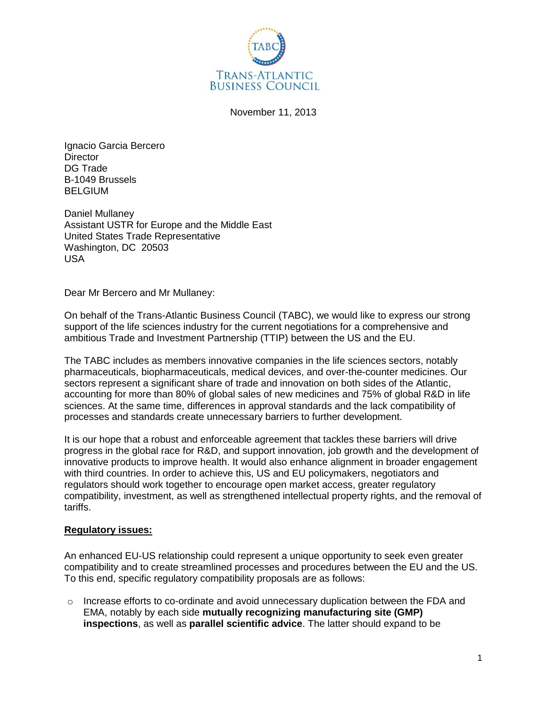

November 11, 2013

Ignacio Garcia Bercero **Director** DG Trade B-1049 Brussels **BELGIUM** 

Daniel Mullaney Assistant USTR for Europe and the Middle East United States Trade Representative Washington, DC 20503 USA

Dear Mr Bercero and Mr Mullaney:

On behalf of the Trans-Atlantic Business Council (TABC), we would like to express our strong support of the life sciences industry for the current negotiations for a comprehensive and ambitious Trade and Investment Partnership (TTIP) between the US and the EU.

The TABC includes as members innovative companies in the life sciences sectors, notably pharmaceuticals, biopharmaceuticals, medical devices, and over-the-counter medicines. Our sectors represent a significant share of trade and innovation on both sides of the Atlantic, accounting for more than 80% of global sales of new medicines and 75% of global R&D in life sciences. At the same time, differences in approval standards and the lack compatibility of processes and standards create unnecessary barriers to further development.

It is our hope that a robust and enforceable agreement that tackles these barriers will drive progress in the global race for R&D, and support innovation, job growth and the development of innovative products to improve health. It would also enhance alignment in broader engagement with third countries. In order to achieve this, US and EU policymakers, negotiators and regulators should work together to encourage open market access, greater regulatory compatibility, investment, as well as strengthened intellectual property rights, and the removal of tariffs.

#### **Regulatory issues:**

An enhanced EU-US relationship could represent a unique opportunity to seek even greater compatibility and to create streamlined processes and procedures between the EU and the US. To this end, specific regulatory compatibility proposals are as follows:

o Increase efforts to co-ordinate and avoid unnecessary duplication between the FDA and EMA, notably by each side **mutually recognizing manufacturing site (GMP) inspections**, as well as **parallel scientific advice**. The latter should expand to be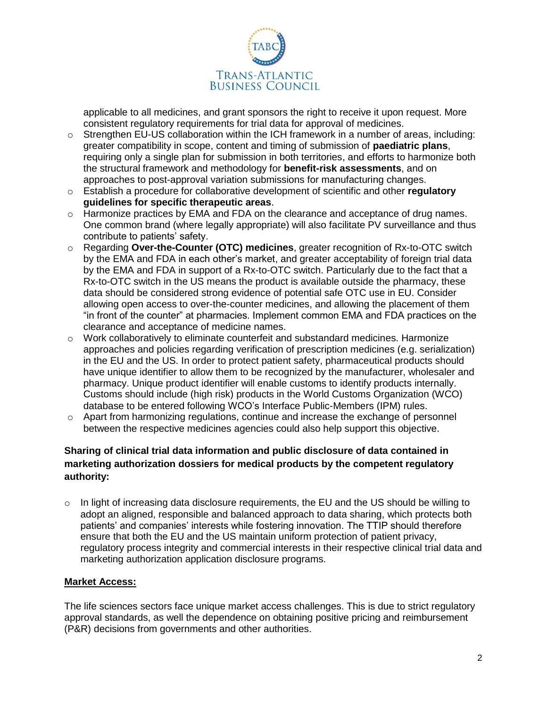

applicable to all medicines, and grant sponsors the right to receive it upon request. More consistent regulatory requirements for trial data for approval of medicines.

- $\circ$  Strengthen EU-US collaboration within the ICH framework in a number of areas, including: greater compatibility in scope, content and timing of submission of **paediatric plans**, requiring only a single plan for submission in both territories, and efforts to harmonize both the structural framework and methodology for **benefit-risk assessments**, and on approaches to post-approval variation submissions for manufacturing changes.
- o Establish a procedure for collaborative development of scientific and other **regulatory guidelines for specific therapeutic areas**.
- $\circ$  Harmonize practices by EMA and FDA on the clearance and acceptance of drug names. One common brand (where legally appropriate) will also facilitate PV surveillance and thus contribute to patients' safety.
- o Regarding **Over-the-Counter (OTC) medicines**, greater recognition of Rx-to-OTC switch by the EMA and FDA in each other's market, and greater acceptability of foreign trial data by the EMA and FDA in support of a Rx-to-OTC switch. Particularly due to the fact that a Rx-to-OTC switch in the US means the product is available outside the pharmacy, these data should be considered strong evidence of potential safe OTC use in EU. Consider allowing open access to over-the-counter medicines, and allowing the placement of them "in front of the counter" at pharmacies. Implement common EMA and FDA practices on the clearance and acceptance of medicine names.
- $\circ$  Work collaboratively to eliminate counterfeit and substandard medicines. Harmonize approaches and policies regarding verification of prescription medicines (e.g. serialization) in the EU and the US. In order to protect patient safety, pharmaceutical products should have unique identifier to allow them to be recognized by the manufacturer, wholesaler and pharmacy. Unique product identifier will enable customs to identify products internally. Customs should include (high risk) products in the World Customs Organization (WCO) database to be entered following WCO's Interface Public-Members (IPM) rules.
- $\circ$  Apart from harmonizing regulations, continue and increase the exchange of personnel between the respective medicines agencies could also help support this objective.

# **Sharing of clinical trial data information and public disclosure of data contained in marketing authorization dossiers for medical products by the competent regulatory authority:**

 $\circ$  In light of increasing data disclosure requirements, the EU and the US should be willing to adopt an aligned, responsible and balanced approach to data sharing, which protects both patients' and companies' interests while fostering innovation. The TTIP should therefore ensure that both the EU and the US maintain uniform protection of patient privacy, regulatory process integrity and commercial interests in their respective clinical trial data and marketing authorization application disclosure programs.

## **Market Access:**

The life sciences sectors face unique market access challenges. This is due to strict regulatory approval standards, as well the dependence on obtaining positive pricing and reimbursement (P&R) decisions from governments and other authorities.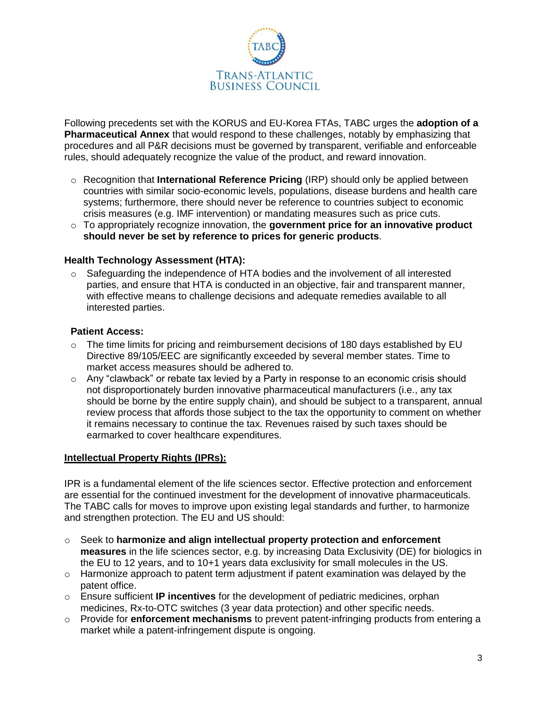

Following precedents set with the KORUS and EU-Korea FTAs, TABC urges the **adoption of a Pharmaceutical Annex** that would respond to these challenges, notably by emphasizing that procedures and all P&R decisions must be governed by transparent, verifiable and enforceable rules, should adequately recognize the value of the product, and reward innovation.

- o Recognition that **International Reference Pricing** (IRP) should only be applied between countries with similar socio-economic levels, populations, disease burdens and health care systems; furthermore, there should never be reference to countries subject to economic crisis measures (e.g. IMF intervention) or mandating measures such as price cuts.
- o To appropriately recognize innovation, the **government price for an innovative product should never be set by reference to prices for generic products**.

## **Health Technology Assessment (HTA):**

 $\circ$  Safeguarding the independence of HTA bodies and the involvement of all interested parties, and ensure that HTA is conducted in an objective, fair and transparent manner, with effective means to challenge decisions and adequate remedies available to all interested parties.

#### **Patient Access:**

- $\circ$  The time limits for pricing and reimbursement decisions of 180 days established by EU Directive 89/105/EEC are significantly exceeded by several member states. Time to market access measures should be adhered to.
- $\circ$  Any "clawback" or rebate tax levied by a Party in response to an economic crisis should not disproportionately burden innovative pharmaceutical manufacturers (i.e., any tax should be borne by the entire supply chain), and should be subject to a transparent, annual review process that affords those subject to the tax the opportunity to comment on whether it remains necessary to continue the tax. Revenues raised by such taxes should be earmarked to cover healthcare expenditures.

#### **Intellectual Property Rights (IPRs):**

IPR is a fundamental element of the life sciences sector. Effective protection and enforcement are essential for the continued investment for the development of innovative pharmaceuticals. The TABC calls for moves to improve upon existing legal standards and further, to harmonize and strengthen protection. The EU and US should:

- o Seek to **harmonize and align intellectual property protection and enforcement measures** in the life sciences sector, e.g. by increasing Data Exclusivity (DE) for biologics in the EU to 12 years, and to 10+1 years data exclusivity for small molecules in the US.
- o Harmonize approach to patent term adjustment if patent examination was delayed by the patent office.
- o Ensure sufficient **IP incentives** for the development of pediatric medicines, orphan medicines, Rx-to-OTC switches (3 year data protection) and other specific needs.
- o Provide for **enforcement mechanisms** to prevent patent-infringing products from entering a market while a patent-infringement dispute is ongoing.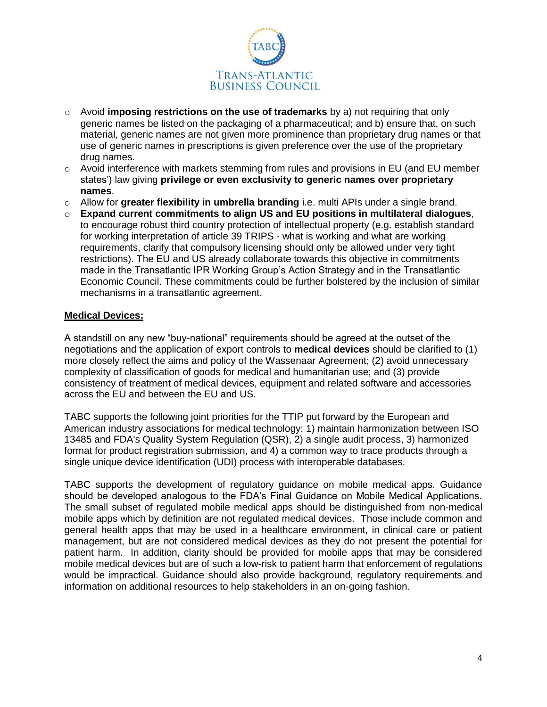

- o Avoid **imposing restrictions on the use of trademarks** by a) not requiring that only generic names be listed on the packaging of a pharmaceutical; and b) ensure that, on such material, generic names are not given more prominence than proprietary drug names or that use of generic names in prescriptions is given preference over the use of the proprietary drug names.
- $\circ$  Avoid interference with markets stemming from rules and provisions in EU (and EU member states') law giving **privilege or even exclusivity to generic names over proprietary names**.
- o Allow for **greater flexibility in umbrella branding** i.e. multi APIs under a single brand.
- o **Expand current commitments to align US and EU positions in multilateral dialogues**, to encourage robust third country protection of intellectual property (e.g. establish standard for working interpretation of article 39 TRIPS - what is working and what are working requirements, clarify that compulsory licensing should only be allowed under very tight restrictions). The EU and US already collaborate towards this objective in commitments made in the Transatlantic IPR Working Group's Action Strategy and in the Transatlantic Economic Council. These commitments could be further bolstered by the inclusion of similar mechanisms in a transatlantic agreement.

### **Medical Devices:**

A standstill on any new "buy-national" requirements should be agreed at the outset of the negotiations and the application of export controls to **medical devices** should be clarified to (1) more closely reflect the aims and policy of the Wassenaar Agreement; (2) avoid unnecessary complexity of classification of goods for medical and humanitarian use; and (3) provide consistency of treatment of medical devices, equipment and related software and accessories across the EU and between the EU and US.

TABC supports the following joint priorities for the TTIP put forward by the European and American industry associations for medical technology: 1) maintain harmonization between ISO 13485 and FDA's Quality System Regulation (QSR), 2) a single audit process, 3) harmonized format for product registration submission, and 4) a common way to trace products through a single unique device identification (UDI) process with interoperable databases.

TABC supports the development of regulatory guidance on mobile medical apps. Guidance should be developed analogous to the FDA's Final Guidance on Mobile Medical Applications. The small subset of regulated mobile medical apps should be distinguished from non-medical mobile apps which by definition are not regulated medical devices. Those include common and general health apps that may be used in a healthcare environment, in clinical care or patient management, but are not considered medical devices as they do not present the potential for patient harm. In addition, clarity should be provided for mobile apps that may be considered mobile medical devices but are of such a low-risk to patient harm that enforcement of regulations would be impractical. Guidance should also provide background, regulatory requirements and information on additional resources to help stakeholders in an on-going fashion.